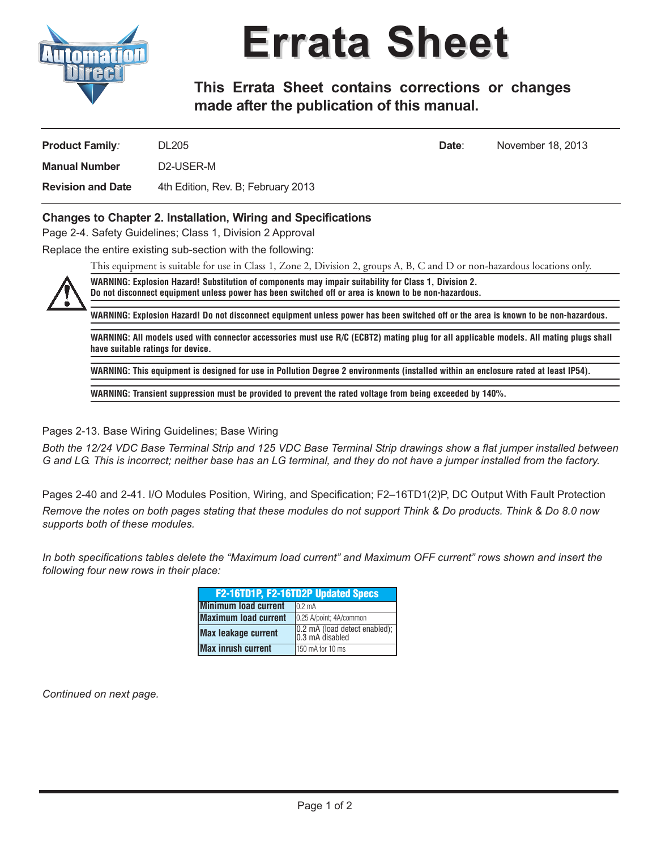

## **Errata Sheet**

**This Errata Sheet contains corrections or changes made after the publication of this manual.**

| <b>Product Family:</b>   | <b>DL205</b>                       | Date: | November 18, 2013 |
|--------------------------|------------------------------------|-------|-------------------|
| <b>Manual Number</b>     | D2-USER-M                          |       |                   |
| <b>Revision and Date</b> | 4th Edition, Rev. B; February 2013 |       |                   |

## **Changes to Chapter 2. Installation, Wiring and Specifications**

Page 2-4. Safety Guidelines; Class 1, Division 2 Approval

Replace the entire existing sub-section with the following:

This equipment is suitable for use in Class 1, Zone 2, Division 2, groups A, B, C and D or non-hazardous locations only.



**WARNING: Explosion Hazard! Substitution of components may impair suitability for Class 1, Division 2. Do not disconnect equipment unless power has been switched off or area is known to be non-hazardous.**

WARNING: Explosion Hazard! Do not disconnect equipment unless power has been switched off or the area is known to be non-hazardous.

WARNING: All models used with connector accessories must use R/C (ECBT2) mating plug for all applicable models. All mating plugs shall **have suitable ratings for device.**

WARNING: This equipment is designed for use in Pollution Degree 2 environments (installed within an enclosure rated at least IP54).

**WARNING: Transient suppression must be provided to prevent the rated voltage from being exceeded by 140%.**

Pages 2-13. Base Wiring Guidelines; Base Wiring

Both the 12/24 VDC Base Terminal Strip and 125 VDC Base Terminal Strip drawings show a flat jumper installed between G and LG. This is incorrect; neither base has an LG terminal, and they do not have a jumper installed from the factory.

Pages 2-40 and 2-41. I/O Modules Position, Wiring, and Specification; F2–16TD1(2)P, DC Output With Fault Protection Remove the notes on both pages stating that these modules do not support Think & Do products. Think & Do 8.0 now *supports both of these modules.*

In both specifications tables delete the "Maximum load current" and Maximum OFF current" rows shown and insert the *following four new rows in their place:*

| F2-16TD1P, F2-16TD2P Updated Specs |                                                          |  |  |
|------------------------------------|----------------------------------------------------------|--|--|
| <b>Minimum load current</b>        | 0.2 <sub>m</sub> A                                       |  |  |
| <b>Maximum load current</b>        | 0.25 A/point; 4A/common                                  |  |  |
| <b>Max leakage current</b>         | $\vert$ 0.2 mA (load detect enabled);<br>0.3 mA disabled |  |  |
| <b>Max inrush current</b>          | 150 mA for 10 ms                                         |  |  |

*Continued on next page.*